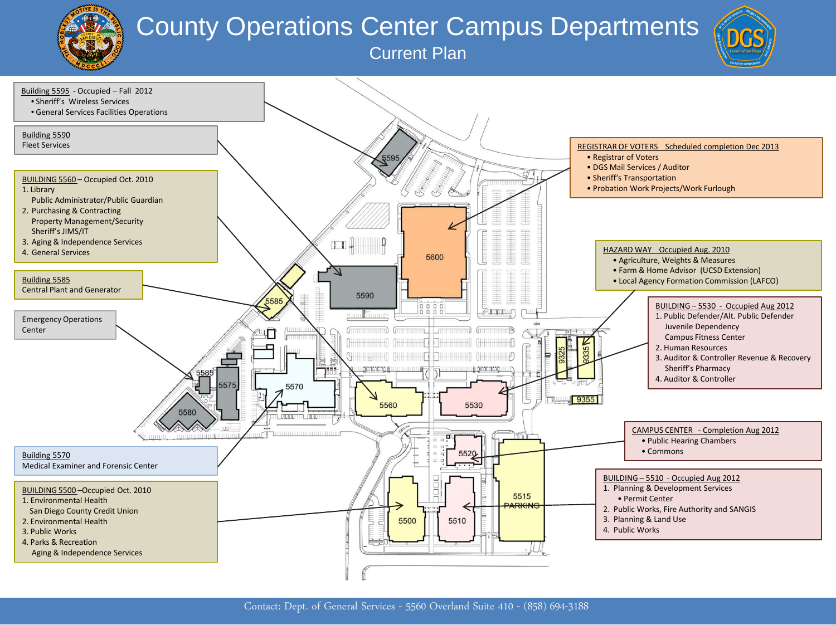## County Operations Center Campus Departments

Current Plan